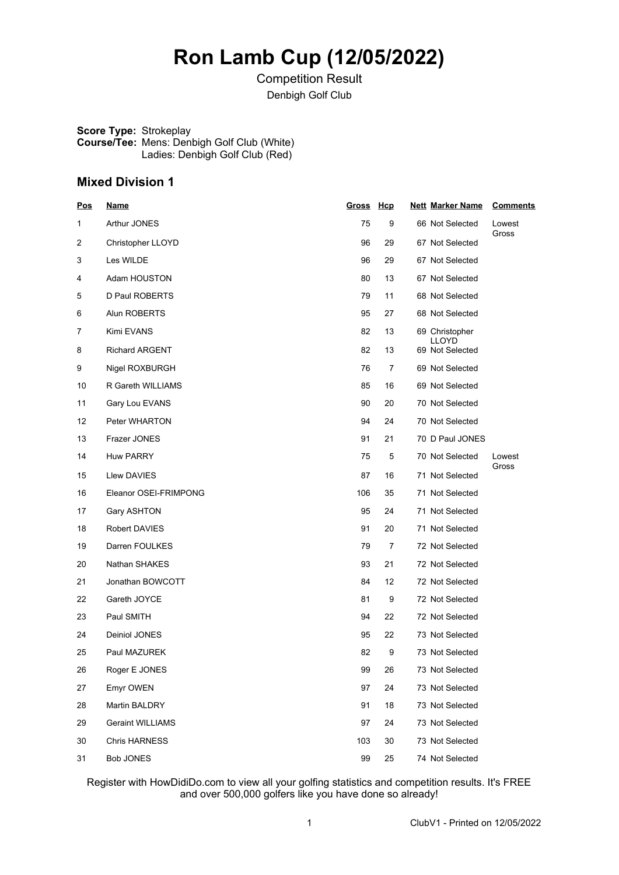## **Ron Lamb Cup (12/05/2022)**

Competition Result Denbigh Golf Club

**Score Type:** Strokeplay **Course/Tee:** Mens: Denbigh Golf Club (White) Ladies: Denbigh Golf Club (Red)

## **Mixed Division 1**

| <u>Pos</u> | <u>Name</u>             | Gross Hcp |    | <b>Nett Marker Name</b>  | <b>Comments</b> |
|------------|-------------------------|-----------|----|--------------------------|-----------------|
| 1          | Arthur JONES            | 75        | 9  | 66 Not Selected          | Lowest<br>Gross |
| 2          | Christopher LLOYD       | 96        | 29 | 67 Not Selected          |                 |
| 3          | Les WILDE               | 96        | 29 | 67 Not Selected          |                 |
| 4          | Adam HOUSTON            | 80        | 13 | 67 Not Selected          |                 |
| 5          | D Paul ROBERTS          | 79        | 11 | 68 Not Selected          |                 |
| 6          | Alun ROBERTS            | 95        | 27 | 68 Not Selected          |                 |
| 7          | Kimi EVANS              | 82        | 13 | 69 Christopher           |                 |
| 8          | <b>Richard ARGENT</b>   | 82        | 13 | LLOYD<br>69 Not Selected |                 |
| 9          | Nigel ROXBURGH          | 76        | 7  | 69 Not Selected          |                 |
| 10         | R Gareth WILLIAMS       | 85        | 16 | 69 Not Selected          |                 |
| 11         | Gary Lou EVANS          | 90        | 20 | 70 Not Selected          |                 |
| 12         | Peter WHARTON           | 94        | 24 | 70 Not Selected          |                 |
| 13         | Frazer JONES            | 91        | 21 | 70 D Paul JONES          |                 |
| 14         | Huw PARRY               | 75        | 5  | 70 Not Selected          | Lowest          |
| 15         | Llew DAVIES             | 87        | 16 | 71 Not Selected          | Gross           |
| 16         | Eleanor OSEI-FRIMPONG   | 106       | 35 | 71 Not Selected          |                 |
| 17         | Gary ASHTON             | 95        | 24 | 71 Not Selected          |                 |
| 18         | Robert DAVIES           | 91        | 20 | 71 Not Selected          |                 |
| 19         | Darren FOULKES          | 79        | 7  | 72 Not Selected          |                 |
| 20         | Nathan SHAKES           | 93        | 21 | 72 Not Selected          |                 |
| 21         | Jonathan BOWCOTT        | 84        | 12 | 72 Not Selected          |                 |
| 22         | Gareth JOYCE            | 81        | 9  | 72 Not Selected          |                 |
| 23         | Paul SMITH              | 94        | 22 | 72 Not Selected          |                 |
| 24         | Deiniol JONES           | 95        | 22 | 73 Not Selected          |                 |
| 25         | Paul MAZUREK            | 82        | 9  | 73 Not Selected          |                 |
| 26         | Roger E JONES           | 99        | 26 | 73 Not Selected          |                 |
| 27         | Emyr OWEN               | 97        | 24 | 73 Not Selected          |                 |
| 28         | Martin BALDRY           | 91        | 18 | 73 Not Selected          |                 |
| 29         | <b>Geraint WILLIAMS</b> | 97        | 24 | 73 Not Selected          |                 |
| 30         | <b>Chris HARNESS</b>    | 103       | 30 | 73 Not Selected          |                 |
| 31         | <b>Bob JONES</b>        | 99        | 25 | 74 Not Selected          |                 |

Register with HowDidiDo.com to view all your golfing statistics and competition results. It's FREE and over 500,000 golfers like you have done so already!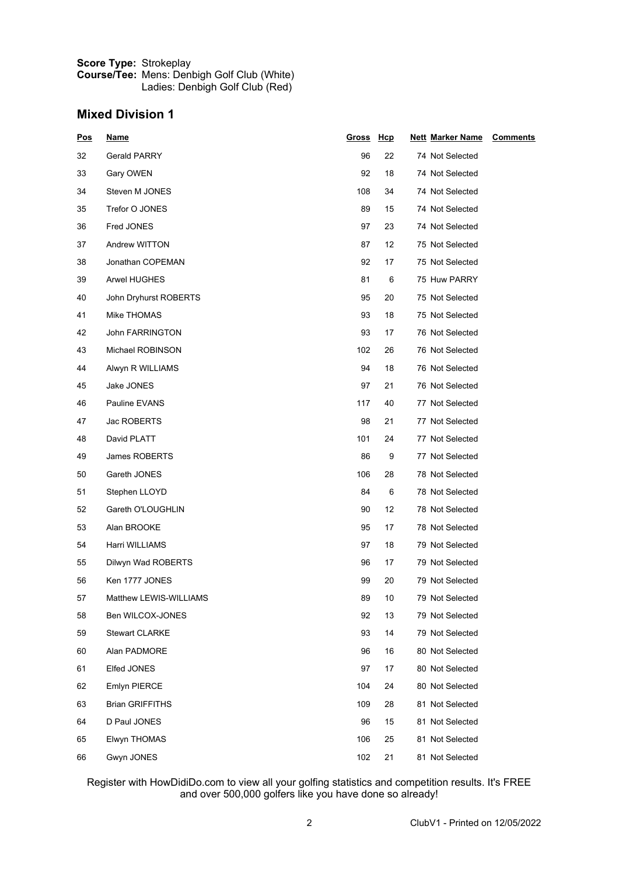| <b>Score Type: Strokeplay</b> |                                                    |
|-------------------------------|----------------------------------------------------|
|                               | <b>Course/Tee:</b> Mens: Denbigh Golf Club (White) |
|                               | Ladies: Denbigh Golf Club (Red)                    |

## **Mixed Division 1**

| <u>Pos</u> | <b>Name</b>            | Gross Hcp |    | <u>Nett_Marker Name</u> | <b>Comments</b> |
|------------|------------------------|-----------|----|-------------------------|-----------------|
| 32         | <b>Gerald PARRY</b>    | 96        | 22 | 74 Not Selected         |                 |
| 33         | Gary OWEN              | 92        | 18 | 74 Not Selected         |                 |
| 34         | Steven M JONES         | 108       | 34 | 74 Not Selected         |                 |
| 35         | Trefor O JONES         | 89        | 15 | 74 Not Selected         |                 |
| 36         | Fred JONES             | 97        | 23 | 74 Not Selected         |                 |
| 37         | Andrew WITTON          | 87        | 12 | 75 Not Selected         |                 |
| 38         | Jonathan COPEMAN       | 92        | 17 | 75 Not Selected         |                 |
| 39         | <b>Arwel HUGHES</b>    | 81        | 6  | 75 Huw PARRY            |                 |
| 40         | John Dryhurst ROBERTS  | 95        | 20 | 75 Not Selected         |                 |
| 41         | Mike THOMAS            | 93        | 18 | 75 Not Selected         |                 |
| 42         | John FARRINGTON        | 93        | 17 | 76 Not Selected         |                 |
| 43         | Michael ROBINSON       | 102       | 26 | 76 Not Selected         |                 |
| 44         | Alwyn R WILLIAMS       | 94        | 18 | 76 Not Selected         |                 |
| 45         | Jake JONES             | 97        | 21 | 76 Not Selected         |                 |
| 46         | Pauline EVANS          | 117       | 40 | 77 Not Selected         |                 |
| 47         | Jac ROBERTS            | 98        | 21 | 77 Not Selected         |                 |
| 48         | David PLATT            | 101       | 24 | 77 Not Selected         |                 |
| 49         | James ROBERTS          | 86        | 9  | 77 Not Selected         |                 |
| 50         | Gareth JONES           | 106       | 28 | 78 Not Selected         |                 |
| 51         | Stephen LLOYD          | 84        | 6  | 78 Not Selected         |                 |
| 52         | Gareth O'LOUGHLIN      | 90        | 12 | 78 Not Selected         |                 |
| 53         | Alan BROOKE            | 95        | 17 | 78 Not Selected         |                 |
| 54         | Harri WILLIAMS         | 97        | 18 | 79 Not Selected         |                 |
| 55         | Dilwyn Wad ROBERTS     | 96        | 17 | 79 Not Selected         |                 |
| 56         | Ken 1777 JONES         | 99        | 20 | 79 Not Selected         |                 |
| 57         | Matthew LEWIS-WILLIAMS | 89        | 10 | 79 Not Selected         |                 |
| 58         | Ben WILCOX-JONES       | 92        | 13 | 79 Not Selected         |                 |
| 59         | <b>Stewart CLARKE</b>  | 93        | 14 | 79 Not Selected         |                 |
| 60         | Alan PADMORE           | 96        | 16 | 80 Not Selected         |                 |
| 61         | Elfed JONES            | 97        | 17 | 80 Not Selected         |                 |
| 62         | Emlyn PIERCE           | 104       | 24 | 80 Not Selected         |                 |
| 63         | <b>Brian GRIFFITHS</b> | 109       | 28 | 81 Not Selected         |                 |
| 64         | D Paul JONES           | 96        | 15 | 81 Not Selected         |                 |
| 65         | Elwyn THOMAS           | 106       | 25 | 81 Not Selected         |                 |
| 66         | Gwyn JONES             | 102       | 21 | 81 Not Selected         |                 |

Register with HowDidiDo.com to view all your golfing statistics and competition results. It's FREE and over 500,000 golfers like you have done so already!